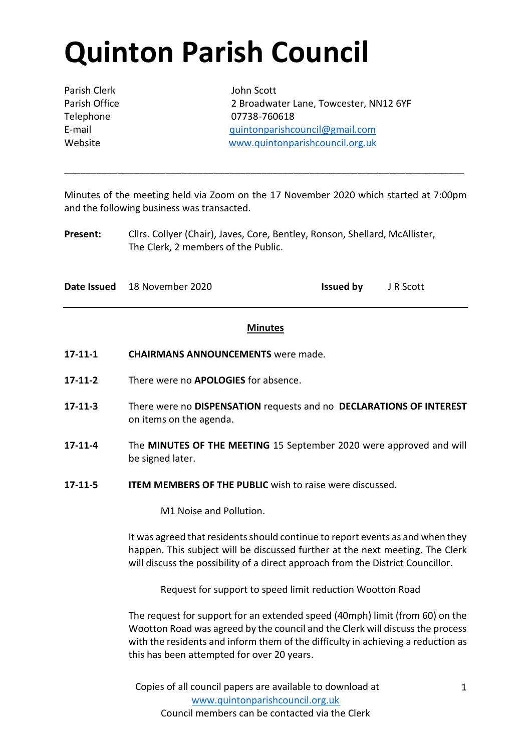# **Quinton Parish Council**

Parish Clerk John Scott

Parish Office 2 Broadwater Lane, Towcester, NN12 6YF Telephone 07738-760618 E-mail [quintonparishcouncil@gmail.com](mailto:quintonparishcouncil@gmail.com) Website [www.quintonparishcouncil.org.uk](http://www.quintonparishcouncil.org.uk/)

Minutes of the meeting held via Zoom on the 17 November 2020 which started at 7:00pm and the following business was transacted.

\_\_\_\_\_\_\_\_\_\_\_\_\_\_\_\_\_\_\_\_\_\_\_\_\_\_\_\_\_\_\_\_\_\_\_\_\_\_\_\_\_\_\_\_\_\_\_\_\_\_\_\_\_\_\_\_\_\_\_\_\_\_\_\_\_\_\_\_\_\_\_\_\_\_\_

**Present:** Cllrs. Collyer (Chair), Javes, Core, Bentley, Ronson, Shellard, McAllister, The Clerk, 2 members of the Public.

**Date Issued** 18 November 2020 **Issued by** J R Scott

## **Minutes**

- **17-11-1 CHAIRMANS ANNOUNCEMENTS** were made.
- **17-11-2** There were no **APOLOGIES** for absence.
- **17-11-3** There were no **DISPENSATION** requests and no **DECLARATIONS OF INTEREST**  on items on the agenda.
- **17-11-4** The **MINUTES OF THE MEETING** 15 September 2020 were approved and will be signed later.
- **17-11-5 ITEM MEMBERS OF THE PUBLIC** wish to raise were discussed.

M1 Noise and Pollution.

It was agreed that residents should continue to report events as and when they happen. This subject will be discussed further at the next meeting. The Clerk will discuss the possibility of a direct approach from the District Councillor.

Request for support to speed limit reduction Wootton Road

The request for support for an extended speed (40mph) limit (from 60) on the Wootton Road was agreed by the council and the Clerk will discuss the process with the residents and inform them of the difficulty in achieving a reduction as this has been attempted for over 20 years.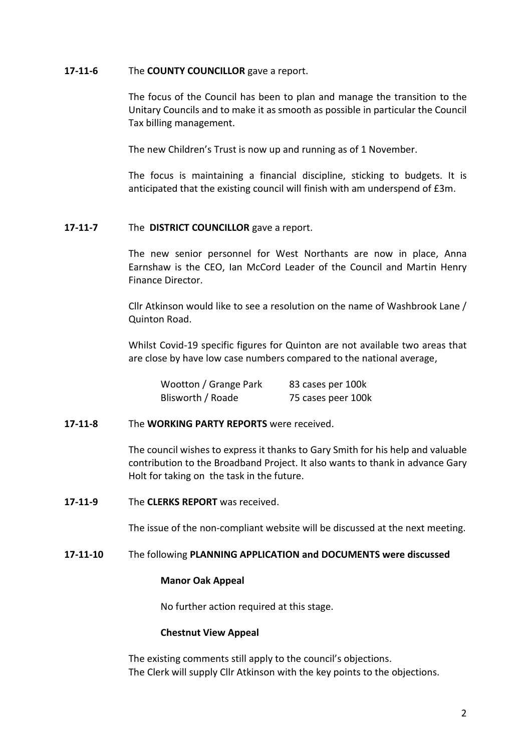### **17-11-6** The **COUNTY COUNCILLOR** gave a report.

The focus of the Council has been to plan and manage the transition to the Unitary Councils and to make it as smooth as possible in particular the Council Tax billing management.

The new Children's Trust is now up and running as of 1 November.

The focus is maintaining a financial discipline, sticking to budgets. It is anticipated that the existing council will finish with am underspend of £3m.

### **17-11-7** The **DISTRICT COUNCILLOR** gave a report.

The new senior personnel for West Northants are now in place, Anna Earnshaw is the CEO, Ian McCord Leader of the Council and Martin Henry Finance Director.

Cllr Atkinson would like to see a resolution on the name of Washbrook Lane / Quinton Road.

Whilst Covid-19 specific figures for Quinton are not available two areas that are close by have low case numbers compared to the national average,

| Wootton / Grange Park | 83 cases per 100k  |
|-----------------------|--------------------|
| Blisworth / Roade     | 75 cases peer 100k |

#### **17-11-8** The **WORKING PARTY REPORTS** were received.

The council wishes to express it thanks to Gary Smith for his help and valuable contribution to the Broadband Project. It also wants to thank in advance Gary Holt for taking on the task in the future.

**17-11-9** The **CLERKS REPORT** was received.

The issue of the non-compliant website will be discussed at the next meeting.

#### **17-11-10** The following **PLANNING APPLICATION and DOCUMENTS were discussed**

#### **Manor Oak Appeal**

No further action required at this stage.

#### **Chestnut View Appeal**

The existing comments still apply to the council's objections. The Clerk will supply Cllr Atkinson with the key points to the objections.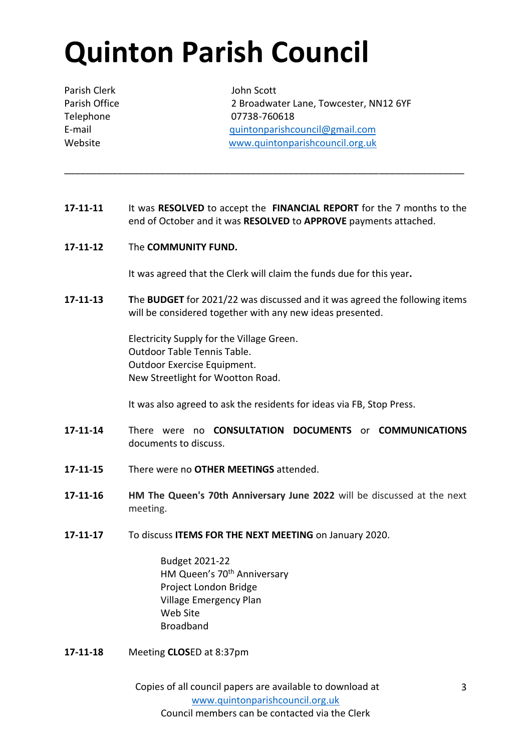# **Quinton Parish Council**

Parish Clerk John Scott

Parish Office 2 Broadwater Lane, Towcester, NN12 6YF Telephone 07738-760618 E-mail [quintonparishcouncil@gmail.com](mailto:quintonparishcouncil@gmail.com) Website [www.quintonparishcouncil.org.uk](http://www.quintonparishcouncil.org.uk/)

**17-11-11** It was **RESOLVED** to accept the **FINANCIAL REPORT** for the 7 months to the end of October and it was **RESOLVED** to **APPROVE** payments attached.

\_\_\_\_\_\_\_\_\_\_\_\_\_\_\_\_\_\_\_\_\_\_\_\_\_\_\_\_\_\_\_\_\_\_\_\_\_\_\_\_\_\_\_\_\_\_\_\_\_\_\_\_\_\_\_\_\_\_\_\_\_\_\_\_\_\_\_\_\_\_\_\_\_\_\_

**17-11-12** The **COMMUNITY FUND.**

It was agreed that the Clerk will claim the funds due for this year**.**

**17-11-13 T**he **BUDGET** for 2021/22 was discussed and it was agreed the following items will be considered together with any new ideas presented.

> Electricity Supply for the Village Green. Outdoor Table Tennis Table. Outdoor Exercise Equipment. New Streetlight for Wootton Road.

It was also agreed to ask the residents for ideas via FB, Stop Press.

- **17-11-14** There were no **CONSULTATION DOCUMENTS** or **COMMUNICATIONS** documents to discuss.
- **17-11-15** There were no **OTHER MEETINGS** attended.
- **17-11-16 HM The Queen's 70th Anniversary June 2022** will be discussed at the next meeting.
- **17-11-17** To discuss **ITEMS FOR THE NEXT MEETING** on January 2020.

Budget 2021-22 HM Queen's 70<sup>th</sup> Anniversary Project London Bridge Village Emergency Plan Web Site Broadband

**17-11-18** Meeting **CLOS**ED at 8:37pm